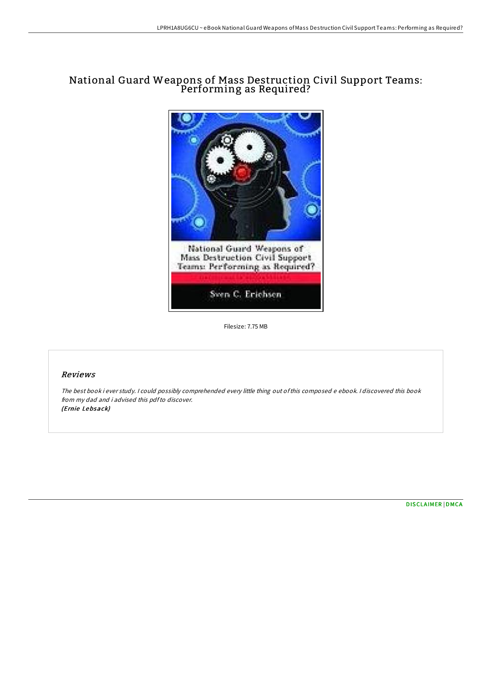## National Guard Weapons of Mass Destruction Civil Support Teams: Performing as Required?



Filesize: 7.75 MB

## Reviews

The best book i ever study. <sup>I</sup> could possibly comprehended every little thing out ofthis composed <sup>e</sup> ebook. <sup>I</sup> discovered this book from my dad and i advised this pdfto discover. (Ernie Lebsack)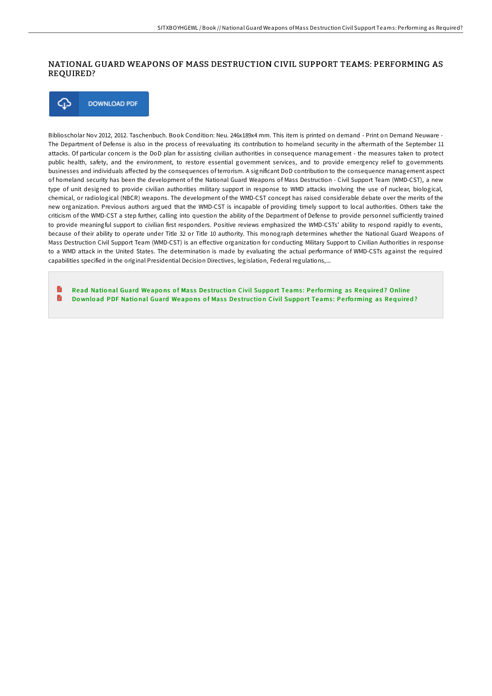## NATIONAL GUARD WEAPONS OF MASS DESTRUCTION CIVIL SUPPORT TEAMS: PERFORMING AS REQUIRED?



Biblioscholar Nov 2012, 2012. Taschenbuch. Book Condition: Neu. 246x189x4 mm. This item is printed on demand - Print on Demand Neuware -The Department of Defense is also in the process of reevaluating its contribution to homeland security in the aftermath of the September 11 attacks. Of particular concern is the DoD plan for assisting civilian authorities in consequence management - the measures taken to protect public health, safety, and the environment, to restore essential government services, and to provide emergency relief to governments businesses and individuals affected by the consequences of terrorism. A significant DoD contribution to the consequence management aspect of homeland security has been the development of the National Guard Weapons of Mass Destruction - Civil Support Team (WMD-CST), a new type of unit designed to provide civilian authorities military support in response to WMD attacks involving the use of nuclear, biological, chemical, or radiological (NBCR) weapons. The development of the WMD-CST concept has raised considerable debate over the merits of the new organization. Previous authors argued that the WMD-CST is incapable of providing timely support to local authorities. Others take the criticism of the WMD-CST a step further, calling into question the ability of the Department of Defense to provide personnel sufficiently trained to provide meaningful support to civilian first responders. Positive reviews emphasized the WMD-CSTs' ability to respond rapidly to events, because of their ability to operate under Title 32 or Title 10 authority. This monograph determines whether the National Guard Weapons of Mass Destruction Civil Support Team (WMD-CST) is an effective organization for conducting Military Support to Civilian Authorities in response to a WMD attack in the United States. The determination is made by evaluating the actual performance of WMD-CSTs against the required capabilities specified in the original Presidential Decision Directives, legislation, Federal regulations,...

Read National Guard [Weapo](http://almighty24.tech/national-guard-weapons-of-mass-destruction-civil.html)ns of Mass Destruction Civil Support Teams: Performing as Required? Online  $\blacksquare$ Download PDF National Guard [Weapo](http://almighty24.tech/national-guard-weapons-of-mass-destruction-civil.html)ns of Mass Destruction Civil Support Teams: Performing as Required?